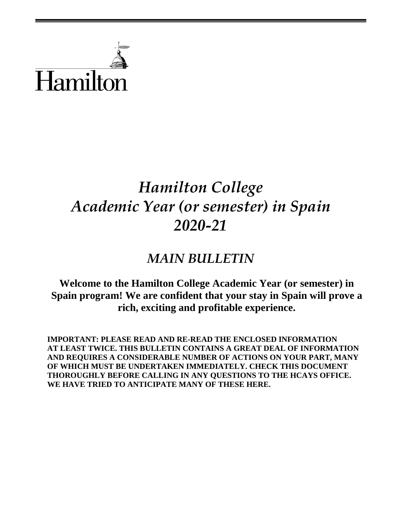

# *Hamilton College Academic Year (or semester) in Spain 2020-21*

## *MAIN BULLETIN*

**Welcome to the Hamilton College Academic Year (or semester) in Spain program! We are confident that your stay in Spain will prove a rich, exciting and profitable experience.**

**IMPORTANT: PLEASE READ AND RE-READ THE ENCLOSED INFORMATION AT LEAST TWICE. THIS BULLETIN CONTAINS A GREAT DEAL OF INFORMATION AND REQUIRES A CONSIDERABLE NUMBER OF ACTIONS ON YOUR PART, MANY OF WHICH MUST BE UNDERTAKEN IMMEDIATELY. CHECK THIS DOCUMENT THOROUGHLY BEFORE CALLING IN ANY QUESTIONS TO THE HCAYS OFFICE. WE HAVE TRIED TO ANTICIPATE MANY OF THESE HERE.**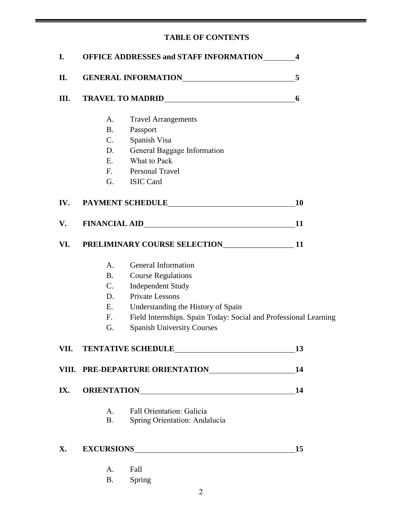## **TABLE OF CONTENTS**

| I.   | <b>OFFICE ADDRESSES and STAFF INFORMATION__________4</b> |                                                                                                                                                                                                                               |           |
|------|----------------------------------------------------------|-------------------------------------------------------------------------------------------------------------------------------------------------------------------------------------------------------------------------------|-----------|
| П.   | GENERAL INFORMATION                                      | 5                                                                                                                                                                                                                             |           |
| Ш.   |                                                          | 6                                                                                                                                                                                                                             |           |
|      | A.                                                       | <b>Travel Arrangements</b>                                                                                                                                                                                                    |           |
|      | <b>B.</b>                                                | Passport                                                                                                                                                                                                                      |           |
|      | C.                                                       | Spanish Visa                                                                                                                                                                                                                  |           |
|      | D.                                                       | General Baggage Information                                                                                                                                                                                                   |           |
|      | E.                                                       | What to Pack                                                                                                                                                                                                                  |           |
|      |                                                          | F. Personal Travel                                                                                                                                                                                                            |           |
|      | G.                                                       | <b>ISIC Card</b>                                                                                                                                                                                                              |           |
| IV.  |                                                          |                                                                                                                                                                                                                               | <b>10</b> |
| V.   |                                                          |                                                                                                                                                                                                                               | <b>11</b> |
| VI.  |                                                          |                                                                                                                                                                                                                               | <b>11</b> |
|      | A.                                                       | General Information                                                                                                                                                                                                           |           |
|      | <b>B.</b>                                                | <b>Course Regulations</b>                                                                                                                                                                                                     |           |
|      | $C_{\cdot}$                                              | <b>Independent Study</b>                                                                                                                                                                                                      |           |
|      | D.                                                       | <b>Private Lessons</b>                                                                                                                                                                                                        |           |
|      | E.                                                       | Understanding the History of Spain                                                                                                                                                                                            |           |
|      | F.                                                       | Field Internships. Spain Today: Social and Professional Learning                                                                                                                                                              |           |
|      | G.                                                       | <b>Spanish University Courses</b>                                                                                                                                                                                             |           |
| VII. |                                                          |                                                                                                                                                                                                                               | 13        |
|      |                                                          |                                                                                                                                                                                                                               | 14        |
| IX.  |                                                          | ORIENTATIONNALLER EXPLORER TO A SERIES AND THE SERIES OF THE SERIES OF THE SERIES OF THE SERIES OF THE SERIES OF THE SERIES OF THE SERIES OF THE SERIES OF THE SERIES OF THE SERIES OF THE SERIES OF THE SERIES OF THE SERIES | 14        |
|      | A.                                                       | <b>Fall Orientation: Galicia</b>                                                                                                                                                                                              |           |
|      | B.                                                       | Spring Orientation: Andalucía                                                                                                                                                                                                 |           |
| X.   |                                                          | EXCURSIONS                                                                                                                                                                                                                    | 15        |
|      | A.                                                       | Fall                                                                                                                                                                                                                          |           |
|      | <b>B.</b>                                                | Spring                                                                                                                                                                                                                        |           |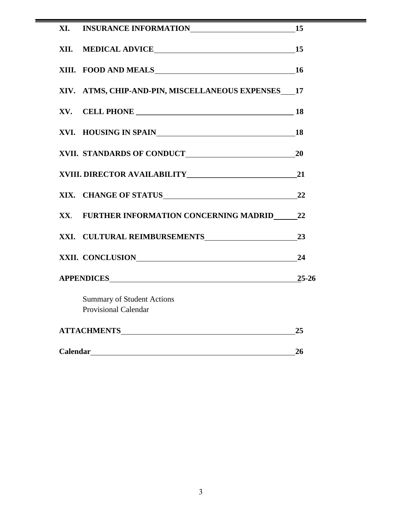|             | XIV. ATMS, CHIP-AND-PIN, MISCELLANEOUS EXPENSES 17               |           |
|-------------|------------------------------------------------------------------|-----------|
| XV.         |                                                                  |           |
|             | XVI. HOUSING IN SPAIN 18                                         |           |
|             |                                                                  |           |
|             |                                                                  |           |
|             |                                                                  |           |
|             | XX. FURTHER INFORMATION CONCERNING MADRID 22                     |           |
|             |                                                                  | 23        |
|             | XXII. CONCLUSION 24                                              |           |
|             |                                                                  | $25 - 26$ |
|             | <b>Summary of Student Actions</b><br><b>Provisional Calendar</b> |           |
|             |                                                                  | 25        |
| Calendar 26 |                                                                  |           |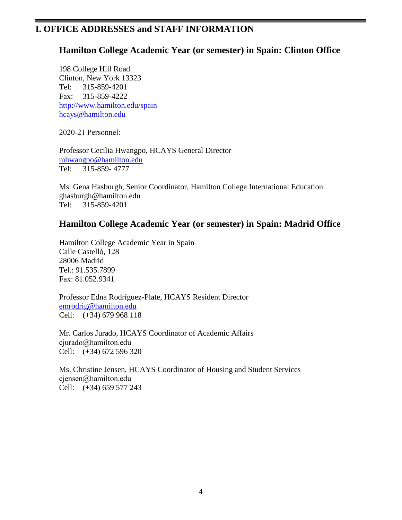## **I. OFFICE ADDRESSES and STAFF INFORMATION**

## **Hamilton College Academic Year (or semester) in Spain: Clinton Office**

198 College Hill Road Clinton, New York 13323 Tel: 315-859-4201 Fax: 315-859-4222 <http://www.hamilton.edu/spain> [hcays@hamilton.edu](mailto:hcays@hamilton.edu)

2020-21 Personnel:

Professor Cecilia Hwangpo, HCAYS General Director [mhwangpo@hamilton.edu](mailto:mhwangpo@hamilton.edu) Tel: 315-859- 4777

Ms. Gena Hasburgh, Senior Coordinator, Hamilton College International Education [ghasburgh@hamilton.edu](mailto:ghasburgh@hamilton.edu) Tel: 315-859-4201

## **Hamilton College Academic Year (or semester) in Spain: Madrid Office**

Hamilton College Academic Year in Spain Calle Castelló, 128 28006 Madrid Tel.: 91.535.7899 Fax: 81.052.9341

Professor Edna Rodríguez-Plate, HCAYS Resident Director [emrodrig@hamilton.edu](mailto:emrodrig@hamilton.edu) Cell: (+34) 679 968 118

Mr. Carlos Jurado, HCAYS Coordinator of Academic Affairs [cjurado@hamilton.edu](mailto:cjurado@hamilton.edu) Cell: (+34) 672 596 320

Ms. Christine Jensen, HCAYS Coordinator of Housing and Student Services [cjensen@hamilton.edu](mailto:cjensen@hamilton.edu) Cell: (+34) 659 577 243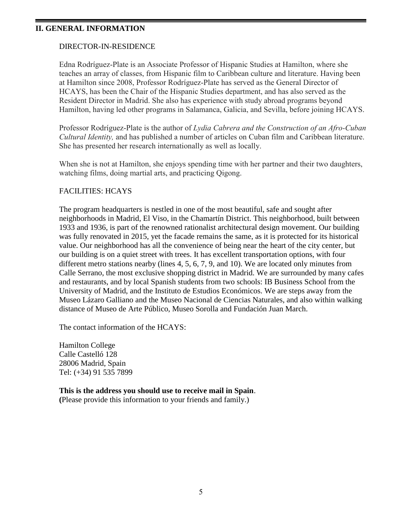#### **II. GENERAL INFORMATION**

#### DIRECTOR-IN-RESIDENCE

Edna Rodríguez-Plate is an Associate Professor of Hispanic Studies at Hamilton, where she teaches an array of classes, from Hispanic film to Caribbean culture and literature. Having been at Hamilton since 2008, Professor Rodríguez-Plate has served as the General Director of HCAYS, has been the Chair of the Hispanic Studies department, and has also served as the Resident Director in Madrid. She also has experience with study abroad programs beyond Hamilton, having led other programs in Salamanca, Galicia, and Sevilla, before joining HCAYS.

Professor Rodríguez-Plate is the author of *Lydia Cabrera and the Construction of an Afro-Cuban Cultural Identity,* and has published a number of articles on Cuban film and Caribbean literature. She has presented her research internationally as well as locally.

When she is not at Hamilton, she enjoys spending time with her partner and their two daughters, watching films, doing martial arts, and practicing Qigong.

### FACILITIES: HCAYS

The program headquarters is nestled in one of the most beautiful, safe and sought after neighborhoods in Madrid, El Viso, in the Chamartín District. This neighborhood, built between 1933 and 1936, is part of the renowned rationalist architectural design movement. Our building was fully renovated in 2015, yet the facade remains the same, as it is protected for its historical value. Our neighborhood has all the convenience of being near the heart of the city center, but our building is on a quiet street with trees. It has excellent transportation options, with four different metro stations nearby (lines 4, 5, 6, 7, 9, and 10). We are located only minutes from Calle Serrano, the most exclusive shopping district in Madrid. We are surrounded by many cafes and restaurants, and by local Spanish students from two schools: IB Business School from the University of Madrid, and the Instituto de Estudios Económicos. We are steps away from the Museo Lázaro Galliano and the Museo Nacional de Ciencias Naturales, and also within walking distance of Museo de Arte Público, Museo Sorolla and Fundación Juan March.

The contact information of the HCAYS:

Hamilton College Calle Castelló 128 28006 Madrid, Spain Tel: (+34) 91 535 7899

#### **This is the address you should use to receive mail in Spain**.

**(**Please provide this information to your friends and family.)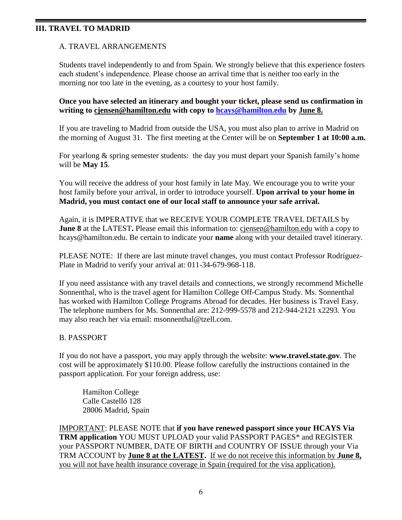## **III. TRAVEL TO MADRID**

### A. TRAVEL ARRANGEMENTS

Students travel independently to and from Spain. We strongly believe that this experience fosters each student's independence. Please choose an arrival time that is neither too early in the morning nor too late in the evening, as a courtesy to your host family.

#### **Once you have selected an itinerary and bought your ticket, please send us confirmation in writing to [cjensen@hamilton.edu](mailto:cjensen@hamilton.edu) with copy to [hcays@hamilton.edu](mailto:hcays@hamilton.edu) by June 8.**

If you are traveling to Madrid from outside the USA, you must also plan to arrive in Madrid on the morning of August 31. The first meeting at the Center will be on **September 1 at 10:00 a.m.**

For yearlong & spring semester students: the day you must depart your Spanish family's home will be **May 15**.

You will receive the address of your host family in late May. We encourage you to write your host family before your arrival, in order to introduce yourself. **Upon arrival to your home in Madrid, you must contact one of our local staff to announce your safe arrival.**

Again, it is IMPERATIVE that we RECEIVE YOUR COMPLETE TRAVEL DETAILS by **June 8** at the LATEST. Please email this information to: ciensen@hamilton.edu with a copy to hcays@hamilton.edu. Be certain to indicate your **name** along with your detailed travel itinerary.

PLEASE NOTE: If there are last minute travel changes, you must contact Professor Rodríguez-Plate in Madrid to verify your arrival at: 011-34-679-968-118.

If you need assistance with any travel details and connections, we strongly recommend Michelle Sonnenthal, who is the travel agent for Hamilton College Off-Campus Study. Ms. Sonnenthal has worked with Hamilton College Programs Abroad for decades. Her business is Travel Easy. The telephone numbers for Ms. Sonnenthal are: 212-999-5578 and 212-944-2121 x2293. You may also reach her via email: [msonnenthal@tzell.com.](mailto:msonnenthal@tzell.com)

#### B. PASSPORT

If you do not have a passport, you may apply through the website: **www.travel.state.gov**. The cost will be approximately \$110.00. Please follow carefully the instructions contained in the passport application. For your foreign address, use:

Hamilton College Calle Castelló 128 28006 Madrid, Spain

IMPORTANT: PLEASE NOTE that **if you have renewed passport since your HCAYS Via TRM application** YOU MUST UPLOAD your valid PASSPORT PAGES\* and REGISTER your PASSPORT NUMBER, DATE OF BIRTH and COUNTRY OF ISSUE through your Via TRM ACCOUNT by **June 8 at the LATEST.** If we do not receive this information by **June 8,**  you will not have health insurance coverage in Spain (required for the visa application).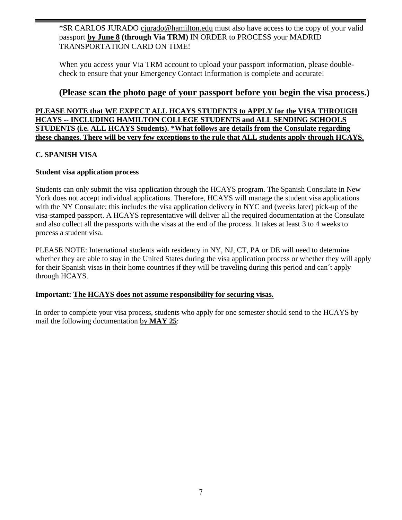\*SR CARLOS JURADO [cjurado@hamilton.edu](mailto:cjurado@hamilton.edu) must also have access to the copy of your valid passport **by June 8 (through Via TRM)** IN ORDER to PROCESS your MADRID TRANSPORTATION CARD ON TIME!

When you access your Via TRM account to upload your passport information, please doublecheck to ensure that your Emergency Contact Information is complete and accurate!

## **(Please scan the photo page of your passport before you begin the visa process.)**

**PLEASE NOTE that WE EXPECT ALL HCAYS STUDENTS to APPLY for the VISA THROUGH HCAYS -- INCLUDING HAMILTON COLLEGE STUDENTS and ALL SENDING SCHOOLS STUDENTS (i.e. ALL HCAYS Students). \*What follows are details from the Consulate regarding these changes. There will be very few exceptions to the rule that ALL students apply through HCAYS.**

## **C. SPANISH VISA**

## **Student visa application process**

Students can only submit the visa application through the HCAYS program. The Spanish Consulate in New York does not accept individual applications. Therefore, HCAYS will manage the student visa applications with the NY Consulate; this includes the visa application delivery in NYC and (weeks later) pick-up of the visa-stamped passport. A HCAYS representative will deliver all the required documentation at the Consulate and also collect all the passports with the visas at the end of the process. It takes at least 3 to 4 weeks to process a student visa.

PLEASE NOTE: International students with residency in NY, NJ, CT, PA or DE will need to determine whether they are able to stay in the United States during the visa application process or whether they will apply for their Spanish visas in their home countries if they will be traveling during this period and can´t apply through HCAYS.

## **Important: The HCAYS does not assume responsibility for securing visas.**

In order to complete your visa process, students who apply for one semester should send to the HCAYS by mail the following documentation by **MAY 25**: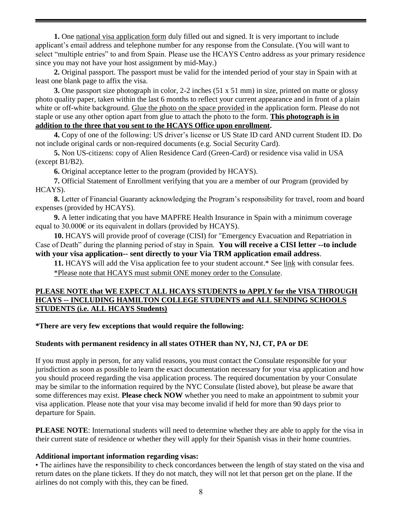**1.** One [national visa application form](http://www.exteriores.gob.es/Consulados/NUEVAYORK/en/ServiciosConsulares/Documents/2010Solicitud%20de%20visado%20nacional%20-%20EN.pdf) duly filled out and signed. It is very important to include applicant's email address and telephone number for any response from the Consulate. (You will want to select "multiple entries" to and from Spain. Please use the HCAYS Centro address as your primary residence since you may not have your host assignment by mid-May.)

**2.** Original passport. The passport must be valid for the intended period of your stay in Spain with at least one blank page to affix the visa.

**3.** One passport size photograph in color, 2-2 inches (51 x 51 mm) in size, printed on matte or glossy photo quality paper, taken within the last 6 months to reflect your current appearance and in front of a plain white or off-white background. Glue the photo on the space provided in the application form. Please do not staple or use any other option apart from glue to attach the photo to the form. **This photograph is in addition to the three that you sent to the HCAYS Office upon enrollment.**

**4.** Copy of one of the following: US driver's license or US State ID card AND current Student ID. Do not include original cards or non-required documents (e.g. Social Security Card).

**5.** Non US-citizens: copy of Alien Residence Card (Green-Card) or residence visa valid in USA (except B1/B2).

**6.** Original acceptance letter to the program (provided by HCAYS).

**7.** Official Statement of Enrollment verifying that you are a member of our Program (provided by HCAYS).

**8.** Letter of Financial Guaranty acknowledging the Program's responsibility for travel, room and board expenses (provided by HCAYS).

**9.** A letter indicating that you have MAPFRE Health Insurance in Spain with a minimum coverage equal to  $30.000\epsilon$  or its equivalent in dollars (provided by HCAYS).

**10.** HCAYS will provide proof of coverage (CISI) for "Emergency Evacuation and Repatriation in Case of Death" during the planning period of stay in Spain. **You will receive a CISI letter --to include with your visa application-- sent directly to your Via TRM application email address**.

11. HCAYS will add the Visa application fee to your student account.\* See [link](http://www.exteriores.gob.es/Consulados/NUEVAYORK/en/ServiciosConsulares/Pages/CSNewyork/Consular-Fees-New-York.aspx) with consular fees. \*Please note that HCAYS must submit ONE money order to the Consulate.

#### **PLEASE NOTE that WE EXPECT ALL HCAYS STUDENTS to APPLY for the VISA THROUGH HCAYS -- INCLUDING HAMILTON COLLEGE STUDENTS and ALL SENDING SCHOOLS STUDENTS (i.e. ALL HCAYS Students)**

**\*There are very few exceptions that would require the following:**

#### **Students with permanent residency in all states OTHER than NY, NJ, CT, PA or DE**

If you must apply in person, for any valid reasons, you must contact the Consulate responsible for your jurisdiction as soon as possible to learn the exact documentation necessary for your visa application and how you should proceed regarding the visa application process. The required documentation by your Consulate may be similar to the information required by the NYC Consulate (listed above), but please be aware that some differences may exist. **Please check NOW** whether you need to make an appointment to submit your visa application. Please note that your visa may become invalid if held for more than 90 days prior to departure for Spain.

**PLEASE NOTE:** International students will need to determine whether they are able to apply for the visa in their current state of residence or whether they will apply for their Spanish visas in their home countries.

#### **Additional important information regarding visas:**

• The airlines have the responsibility to check concordances between the length of stay stated on the visa and return dates on the plane tickets. If they do not match, they will not let that person get on the plane. If the airlines do not comply with this, they can be fined.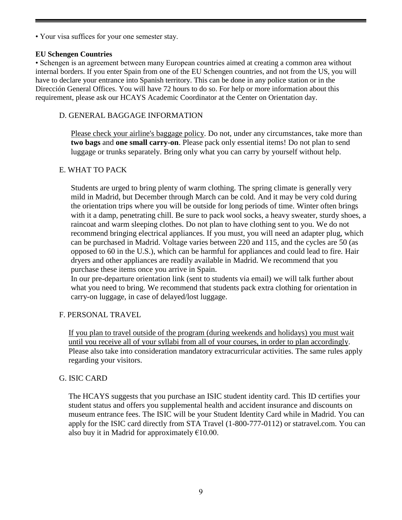• Your visa suffices for your one semester stay.

#### **EU Schengen Countries**

• Schengen is an agreement between many European countries aimed at creating a common area without internal borders. If you enter Spain from one of the EU Schengen countries, and not from the US, you will have to declare your entrance into Spanish territory. This can be done in any police station or in the Dirección General Offices. You will have 72 hours to do so. For help or more information about this requirement, please ask our HCAYS Academic Coordinator at the Center on Orientation day.

## D. GENERAL BAGGAGE INFORMATION

Please check your airline's baggage policy. Do not, under any circumstances, take more than **two bags** and **one small carry-on**. Please pack only essential items! Do not plan to send luggage or trunks separately. Bring only what you can carry by yourself without help.

## E. WHAT TO PACK

Students are urged to bring plenty of warm clothing. The spring climate is generally very mild in Madrid, but December through March can be cold. And it may be very cold during the orientation trips where you will be outside for long periods of time. Winter often brings with it a damp, penetrating chill. Be sure to pack wool socks, a heavy sweater, sturdy shoes, a raincoat and warm sleeping clothes. Do not plan to have clothing sent to you. We do not recommend bringing electrical appliances. If you must, you will need an adapter plug, which can be purchased in Madrid. Voltage varies between 220 and 115, and the cycles are 50 (as opposed to 60 in the U.S.), which can be harmful for appliances and could lead to fire. Hair dryers and other appliances are readily available in Madrid. We recommend that you purchase these items once you arrive in Spain.

In our pre-departure orientation link (sent to students via email) we will talk further about what you need to bring. We recommend that students pack extra clothing for orientation in carry-on luggage, in case of delayed/lost luggage.

## F. PERSONAL TRAVEL

If you plan to travel outside of the program (during weekends and holidays) you must wait until you receive all of your syllabi from all of your courses, in order to plan accordingly. Please also take into consideration mandatory extracurricular activities. The same rules apply regarding your visitors.

## G. ISIC CARD

The HCAYS suggests that you purchase an ISIC student identity card. This ID certifies your student status and offers you supplemental health and accident insurance and discounts on museum entrance fees. The ISIC will be your Student Identity Card while in Madrid. You can apply for the ISIC card directly from STA Travel (1-800-777-0112) or statravel.com. You can also buy it in Madrid for approximately  $£10.00$ .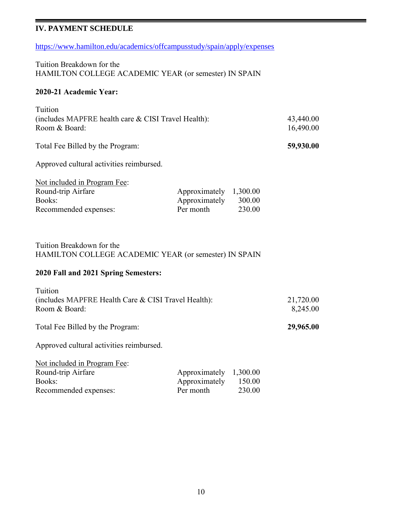## **IV. PAYMENT SCHEDULE**

<https://www.hamilton.edu/academics/offcampusstudy/spain/apply/expenses>

Tuition Breakdown for the HAMILTON COLLEGE ACADEMIC YEAR (or semester) IN SPAIN

#### **2020-21 Academic Year:**

| Tuition                                                                               |                                             |                              |  |
|---------------------------------------------------------------------------------------|---------------------------------------------|------------------------------|--|
| (includes MAPFRE health care & CISI Travel Health):<br>Room & Board:                  |                                             | 43,440.00<br>16,490.00       |  |
| Total Fee Billed by the Program:                                                      |                                             | 59,930.00                    |  |
| Approved cultural activities reimbursed.                                              |                                             |                              |  |
| Not included in Program Fee:<br>Round-trip Airfare<br>Books:<br>Recommended expenses: | Approximately<br>Approximately<br>Per month | 1,300.00<br>300.00<br>230.00 |  |
| Tuition Breakdown for the<br>HAMILTON COLLEGE ACADEMIC YEAR (or semester) IN SPAIN    |                                             |                              |  |
| 2020 Fall and 2021 Spring Semesters:                                                  |                                             |                              |  |
| Tuition<br>(includes MAPFRE Health Care & CISI Travel Health):<br>Room & Board:       | 21,720.00<br>8,245.00                       |                              |  |
| Total Fee Billed by the Program:                                                      |                                             | 29,965.00                    |  |
| Approved cultural activities reimbursed.                                              |                                             |                              |  |
| Not included in Program Fee:<br>Round-trip Airfare<br>Books:<br>Recommended expenses: | Approximately<br>Approximately<br>Per month | 1,300.00<br>150.00<br>230.00 |  |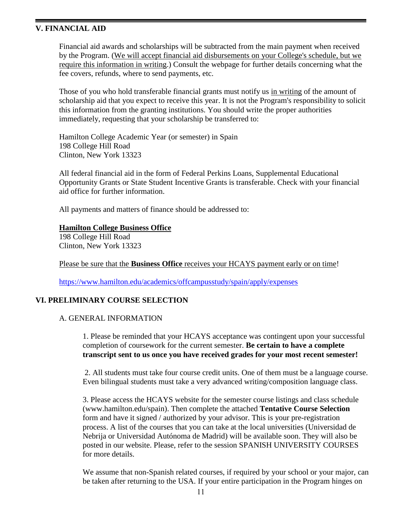#### **V. FINANCIAL AID**

Financial aid awards and scholarships will be subtracted from the main payment when received by the Program. (We will accept financial aid disbursements on your College's schedule, but we require this information in writing.) Consult the webpage for further details concerning what the fee covers, refunds, where to send payments, etc.

Those of you who hold transferable financial grants must notify us in writing of the amount of scholarship aid that you expect to receive this year. It is not the Program's responsibility to solicit this information from the granting institutions. You should write the proper authorities immediately, requesting that your scholarship be transferred to:

Hamilton College Academic Year (or semester) in Spain 198 College Hill Road Clinton, New York 13323

All federal financial aid in the form of Federal Perkins Loans, Supplemental Educational Opportunity Grants or State Student Incentive Grants is transferable. Check with your financial aid office for further information.

All payments and matters of finance should be addressed to:

#### **Hamilton College Business Office**

198 College Hill Road Clinton, New York 13323

Please be sure that the **Business Office** receives your HCAYS payment early or on time!

<https://www.hamilton.edu/academics/offcampusstudy/spain/apply/expenses>

#### **VI. PRELIMINARY COURSE SELECTION**

#### A. GENERAL INFORMATION

1. Please be reminded that your HCAYS acceptance was contingent upon your successful completion of coursework for the current semester. **Be certain to have a complete transcript sent to us once you have received grades for your most recent semester!**

2. All students must take four course credit units. One of them must be a language course. Even bilingual students must take a very advanced writing/composition language class.

3. Please access the HCAYS website for the semester course listings and class schedule (www.hamilton.edu/spain). Then complete the attached **Tentative Course Selection** form and have it signed / authorized by your advisor. This is your pre-registration process. A list of the courses that you can take at the local universities (Universidad de Nebrija or Universidad Autónoma de Madrid) will be available soon. They will also be posted in our website. Please, refer to the session SPANISH UNIVERSITY COURSES for more details.

We assume that non-Spanish related courses, if required by your school or your major, can be taken after returning to the USA. If your entire participation in the Program hinges on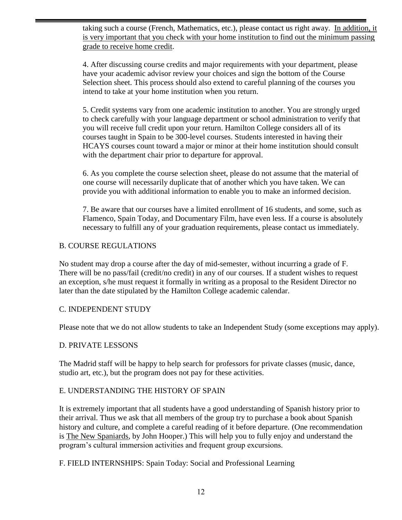taking such a course (French, Mathematics, etc.), please contact us right away. In addition, it is very important that you check with your home institution to find out the minimum passing grade to receive home credit.

4. After discussing course credits and major requirements with your department, please have your academic advisor review your choices and sign the bottom of the Course Selection sheet. This process should also extend to careful planning of the courses you intend to take at your home institution when you return.

5. Credit systems vary from one academic institution to another. You are strongly urged to check carefully with your language department or school administration to verify that you will receive full credit upon your return. Hamilton College considers all of its courses taught in Spain to be 300-level courses. Students interested in having their HCAYS courses count toward a major or minor at their home institution should consult with the department chair prior to departure for approval.

6. As you complete the course selection sheet, please do not assume that the material of one course will necessarily duplicate that of another which you have taken. We can provide you with additional information to enable you to make an informed decision.

7. Be aware that our courses have a limited enrollment of 16 students, and some, such as Flamenco, Spain Today, and Documentary Film, have even less. If a course is absolutely necessary to fulfill any of your graduation requirements, please contact us immediately.

## B. COURSE REGULATIONS

No student may drop a course after the day of mid-semester, without incurring a grade of F. There will be no pass/fail (credit/no credit) in any of our courses. If a student wishes to request an exception, s/he must request it formally in writing as a proposal to the Resident Director no later than the date stipulated by the Hamilton College academic calendar.

## C. INDEPENDENT STUDY

Please note that we do not allow students to take an Independent Study (some exceptions may apply).

## D. PRIVATE LESSONS

The Madrid staff will be happy to help search for professors for private classes (music, dance, studio art, etc.), but the program does not pay for these activities.

## E. UNDERSTANDING THE HISTORY OF SPAIN

It is extremely important that all students have a good understanding of Spanish history prior to their arrival. Thus we ask that all members of the group try to purchase a book about Spanish history and culture, and complete a careful reading of it before departure. (One recommendation is The New Spaniards, by John Hooper.) This will help you to fully enjoy and understand the program's cultural immersion activities and frequent group excursions.

F. FIELD INTERNSHIPS: Spain Today: Social and Professional Learning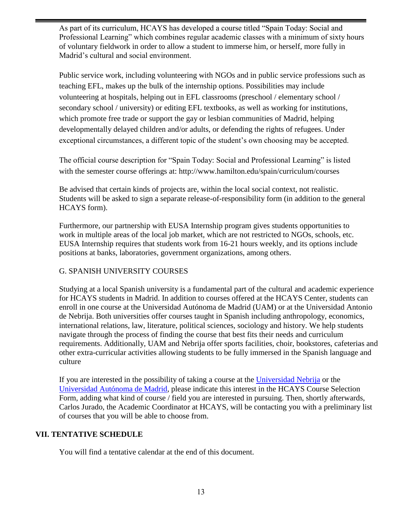As part of its curriculum, HCAYS has developed a course titled "Spain Today: Social and Professional Learning" which combines regular academic classes with a minimum of sixty hours of voluntary fieldwork in order to allow a student to immerse him, or herself, more fully in Madrid's cultural and social environment.

Public service work, including volunteering with NGOs and in public service professions such as teaching EFL, makes up the bulk of the internship options. Possibilities may include volunteering at hospitals, helping out in EFL classrooms (preschool / elementary school / secondary school / university) or editing EFL textbooks, as well as working for institutions, which promote free trade or support the gay or lesbian communities of Madrid, helping developmentally delayed children and/or adults, or defending the rights of refugees. Under exceptional circumstances, a different topic of the student's own choosing may be accepted.

The official course description for "Spain Today: Social and Professional Learning" is listed with the semester course offerings at: http://www.hamilton.edu/spain/curriculum/courses

Be advised that certain kinds of projects are, within the local social context, not realistic. Students will be asked to sign a separate release-of-responsibility form (in addition to the general HCAYS form).

Furthermore, our partnership with EUSA Internship program gives students opportunities to work in multiple areas of the local job market, which are not restricted to NGOs, schools, etc. EUSA Internship requires that students work from 16-21 hours weekly, and its options include positions at banks, laboratories, government organizations, among others.

## G. SPANISH UNIVERSITY COURSES

Studying at a local Spanish university is a fundamental part of the cultural and academic experience for HCAYS students in Madrid. In addition to courses offered at the HCAYS Center, students can enroll in one course at the Universidad Autónoma de Madrid (UAM) or at the Universidad Antonio de Nebrija. Both universities offer courses taught in Spanish including anthropology, economics, international relations, law, literature, political sciences, sociology and history. We help students navigate through the process of finding the course that best fits their needs and curriculum requirements. Additionally, UAM and Nebrija offer sports facilities, choir, bookstores, cafeterias and other extra-curricular activities allowing students to be fully immersed in the Spanish language and culture

If you are interested in the possibility of taking a course at the [Universidad Nebrija](http://www.nebrija.com/estudios/) or the [Universidad Autónoma de Madrid,](http://www.uam.es/ss/Satellite/en/home.htm) please indicate this interest in the HCAYS Course Selection Form, adding what kind of course / field you are interested in pursuing. Then, shortly afterwards, Carlos Jurado, the Academic Coordinator at HCAYS, will be contacting you with a preliminary list of courses that you will be able to choose from.

#### **VII. TENTATIVE SCHEDULE**

You will find a tentative calendar at the end of this document.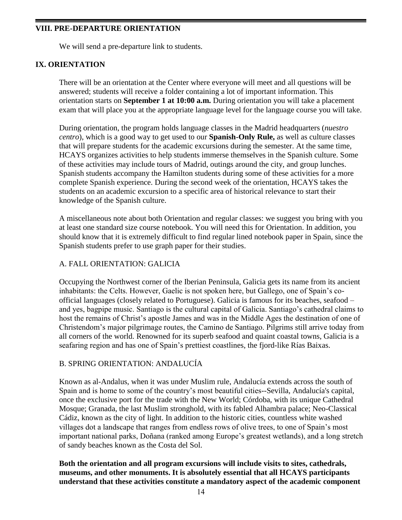## **VIII. PRE-DEPARTURE ORIENTATION**

We will send a pre-departure link to students.

## **IX. ORIENTATION**

There will be an orientation at the Center where everyone will meet and all questions will be answered; students will receive a folder containing a lot of important information. This orientation starts on **September 1 at 10:00 a.m.** During orientation you will take a placement exam that will place you at the appropriate language level for the language course you will take.

During orientation, the program holds language classes in the Madrid headquarters (*nuestro centro*), which is a good way to get used to our **Spanish-Only Rule,** as well as culture classes that will prepare students for the academic excursions during the semester. At the same time, HCAYS organizes activities to help students immerse themselves in the Spanish culture. Some of these activities may include tours of Madrid, outings around the city, and group lunches. Spanish students accompany the Hamilton students during some of these activities for a more complete Spanish experience. During the second week of the orientation, HCAYS takes the students on an academic excursion to a specific area of historical relevance to start their knowledge of the Spanish culture.

A miscellaneous note about both Orientation and regular classes: we suggest you bring with you at least one standard size course notebook. You will need this for Orientation. In addition, you should know that it is extremely difficult to find regular lined notebook paper in Spain, since the Spanish students prefer to use graph paper for their studies.

## A. FALL ORIENTATION: GALICIA

Occupying the Northwest corner of the Iberian Peninsula, Galicia gets its name from its ancient inhabitants: the Celts. However, Gaelic is not spoken here, but Gallego, one of Spain's coofficial languages (closely related to Portuguese). Galicia is famous for its beaches, seafood – and yes, bagpipe music. Santiago is the cultural capital of Galicia. Santiago's cathedral claims to host the remains of Christ's apostle James and was in the Middle Ages the destination of one of Christendom's major pilgrimage routes, the Camino de Santiago. Pilgrims still arrive today from all corners of the world. Renowned for its superb seafood and quaint coastal towns, Galicia is a seafaring region and has one of Spain's prettiest coastlines, the fjord-like Rías Baixas.

## B. SPRING ORIENTATION: ANDALUCÍA

Known as al-Andalus, when it was under Muslim rule, Andalucía extends across the south of Spain and is home to some of the country's most beautiful cities--Sevilla, Andalucía's capital, once the exclusive port for the trade with the New World; Córdoba, with its unique Cathedral Mosque; Granada, the last Muslim stronghold, with its fabled Alhambra palace; Neo-Classical Cádiz, known as the city of light. In addition to the historic cities, countless white washed villages dot a landscape that ranges from endless rows of olive trees, to one of Spain's most important national parks, Doñana (ranked among Europe's greatest wetlands), and a long stretch of sandy beaches known as the Costa del Sol.

## **Both the orientation and all program excursions will include visits to sites, cathedrals, museums, and other monuments. It is absolutely essential that all HCAYS participants understand that these activities constitute a mandatory aspect of the academic component**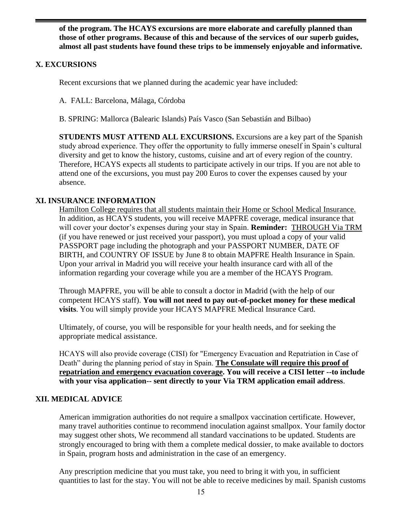**of the program. The HCAYS excursions are more elaborate and carefully planned than those of other programs. Because of this and because of the services of our superb guides, almost all past students have found these trips to be immensely enjoyable and informative.**

## **X. EXCURSIONS**

Recent excursions that we planned during the academic year have included:

A. FALL: Barcelona, Málaga, Córdoba

B. SPRING: Mallorca (Balearic Islands) País Vasco (San Sebastián and Bilbao)

**STUDENTS MUST ATTEND ALL EXCURSIONS.** Excursions are a key part of the Spanish study abroad experience. They offer the opportunity to fully immerse oneself in Spain's cultural diversity and get to know the history, customs, cuisine and art of every region of the country. Therefore, HCAYS expects all students to participate actively in our trips. If you are not able to attend one of the excursions, you must pay 200 Euros to cover the expenses caused by your absence.

## **XI. INSURANCE INFORMATION**

Hamilton College requires that all students maintain their Home or School Medical Insurance. In addition, as HCAYS students, you will receive MAPFRE coverage, medical insurance that will cover your doctor's expenses during your stay in Spain. **Reminder:** THROUGH Via TRM (if you have renewed or just received your passport), you must upload a copy of your valid PASSPORT page including the photograph and your PASSPORT NUMBER, DATE OF BIRTH, and COUNTRY OF ISSUE by June 8 to obtain MAPFRE Health Insurance in Spain. Upon your arrival in Madrid you will receive your health insurance card with all of the information regarding your coverage while you are a member of the HCAYS Program.

Through MAPFRE, you will be able to consult a doctor in Madrid (with the help of our competent HCAYS staff). **You will not need to pay out-of-pocket money for these medical visits**. You will simply provide your HCAYS MAPFRE Medical Insurance Card.

Ultimately, of course, you will be responsible for your health needs, and for seeking the appropriate medical assistance.

HCAYS will also provide coverage (CISI) for "Emergency Evacuation and Repatriation in Case of Death" during the planning period of stay in Spain. **The Consulate will require this proof of repatriation and emergency evacuation coverage. You will receive a CISI letter --to include with your visa application-- sent directly to your Via TRM application email address**.

## **XII. MEDICAL ADVICE**

American immigration authorities do not require a smallpox vaccination certificate. However, many travel authorities continue to recommend inoculation against smallpox. Your family doctor may suggest other shots, We recommend all standard vaccinations to be updated. Students are strongly encouraged to bring with them a complete medical dossier, to make available to doctors in Spain, program hosts and administration in the case of an emergency.

Any prescription medicine that you must take, you need to bring it with you, in sufficient quantities to last for the stay. You will not be able to receive medicines by mail. Spanish customs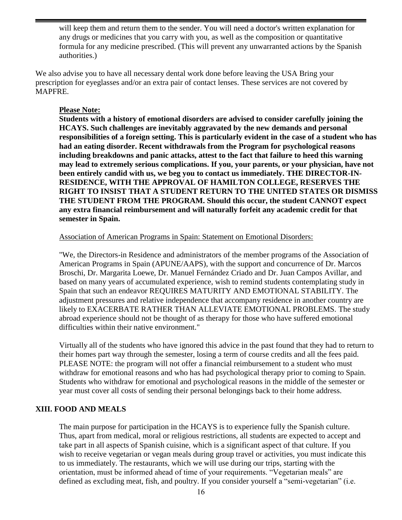will keep them and return them to the sender. You will need a doctor's written explanation for any drugs or medicines that you carry with you, as well as the composition or quantitative formula for any medicine prescribed. (This will prevent any unwarranted actions by the Spanish authorities.)

We also advise you to have all necessary dental work done before leaving the USA Bring your prescription for eyeglasses and/or an extra pair of contact lenses. These services are not covered by MAPFRE.

#### **Please Note:**

**Students with a history of emotional disorders are advised to consider carefully joining the HCAYS. Such challenges are inevitably aggravated by the new demands and personal responsibilities of a foreign setting. This is particularly evident in the case of a student who has had an eating disorder. Recent withdrawals from the Program for psychological reasons including breakdowns and panic attacks, attest to the fact that failure to heed this warning may lead to extremely serious complications. If you, your parents, or your physician, have not been entirely candid with us, we beg you to contact us immediately. THE DIRECTOR-IN-RESIDENCE, WITH THE APPROVAL OF HAMILTON COLLEGE, RESERVES THE RIGHT TO INSIST THAT A STUDENT RETURN TO THE UNITED STATES OR DISMISS THE STUDENT FROM THE PROGRAM. Should this occur, the student CANNOT expect any extra financial reimbursement and will naturally forfeit any academic credit for that semester in Spain.**

#### Association of American Programs in Spain: Statement on Emotional Disorders:

"We, the Directors-in Residence and administrators of the member programs of the Association of American Programs in Spain (APUNE/AAPS), with the support and concurrence of Dr. Marcos Broschi, Dr. Margarita Loewe, Dr. Manuel Fernández Criado and Dr. Juan Campos Avillar, and based on many years of accumulated experience, wish to remind students contemplating study in Spain that such an endeavor REQUIRES MATURITY AND EMOTIONAL STABILITY. The adjustment pressures and relative independence that accompany residence in another country are likely to EXACERBATE RATHER THAN ALLEVIATE EMOTIONAL PROBLEMS. The study abroad experience should not be thought of as therapy for those who have suffered emotional difficulties within their native environment."

Virtually all of the students who have ignored this advice in the past found that they had to return to their homes part way through the semester, losing a term of course credits and all the fees paid. PLEASE NOTE: the program will not offer a financial reimbursement to a student who must withdraw for emotional reasons and who has had psychological therapy prior to coming to Spain. Students who withdraw for emotional and psychological reasons in the middle of the semester or year must cover all costs of sending their personal belongings back to their home address.

## **XIII. FOOD AND MEALS**

The main purpose for participation in the HCAYS is to experience fully the Spanish culture. Thus, apart from medical, moral or religious restrictions, all students are expected to accept and take part in all aspects of Spanish cuisine, which is a significant aspect of that culture. If you wish to receive vegetarian or vegan meals during group travel or activities, you must indicate this to us immediately. The restaurants, which we will use during our trips, starting with the orientation, must be informed ahead of time of your requirements. "Vegetarian meals" are defined as excluding meat, fish, and poultry. If you consider yourself a "semi-vegetarian" (i.e.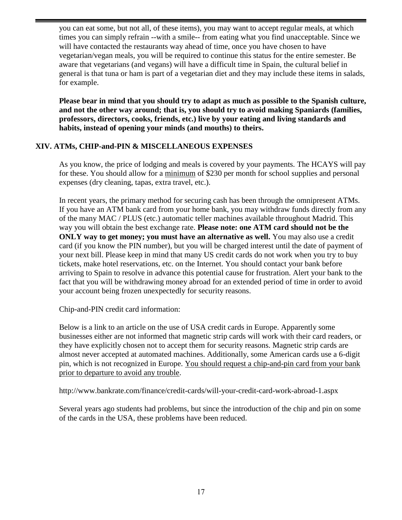you can eat some, but not all, of these items), you may want to accept regular meals, at which times you can simply refrain --with a smile-- from eating what you find unacceptable. Since we will have contacted the restaurants way ahead of time, once you have chosen to have vegetarian/vegan meals, you will be required to continue this status for the entire semester. Be aware that vegetarians (and vegans) will have a difficult time in Spain, the cultural belief in general is that tuna or ham is part of a vegetarian diet and they may include these items in salads, for example.

**Please bear in mind that you should try to adapt as much as possible to the Spanish culture, and not the other way around; that is, you should try to avoid making Spaniards (families, professors, directors, cooks, friends, etc.) live by your eating and living standards and habits, instead of opening your minds (and mouths) to theirs.**

## **XIV. ATMs, CHIP-and-PIN & MISCELLANEOUS EXPENSES**

As you know, the price of lodging and meals is covered by your payments. The HCAYS will pay for these. You should allow for a minimum of \$230 per month for school supplies and personal expenses (dry cleaning, tapas, extra travel, etc.).

In recent years, the primary method for securing cash has been through the omnipresent ATMs. If you have an ATM bank card from your home bank, you may withdraw funds directly from any of the many MAC / PLUS (etc.) automatic teller machines available throughout Madrid. This way you will obtain the best exchange rate. **Please note: one ATM card should not be the ONLY** way to get money; you must have an alternative as well. You may also use a credit card (if you know the PIN number), but you will be charged interest until the date of payment of your next bill. Please keep in mind that many US credit cards do not work when you try to buy tickets, make hotel reservations, etc. on the Internet. You should contact your bank before arriving to Spain to resolve in advance this potential cause for frustration. Alert your bank to the fact that you will be withdrawing money abroad for an extended period of time in order to avoid your account being frozen unexpectedly for security reasons.

Chip-and-PIN credit card information:

Below is a link to an article on the use of USA credit cards in Europe. Apparently some businesses either are not informed that magnetic strip cards will work with their card readers, or they have explicitly chosen not to accept them for security reasons. Magnetic strip cards are almost never accepted at automated machines. Additionally, some American cards use a 6-digit pin, which is not recognized in Europe. You should request a chip-and-pin card from your bank prior to departure to avoid any trouble.

<http://www.bankrate.com/finance/credit-cards/will-your-credit-card-work-abroad-1.aspx>

Several years ago students had problems, but since the introduction of the chip and pin on some of the cards in the USA, these problems have been reduced.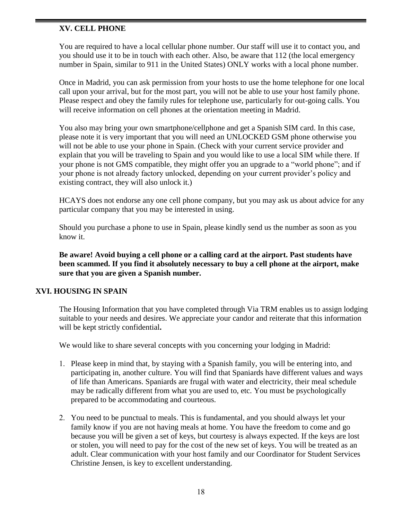## **XV. CELL PHONE**

You are required to have a local cellular phone number. Our staff will use it to contact you, and you should use it to be in touch with each other. Also, be aware that 112 (the local emergency number in Spain, similar to 911 in the United States) ONLY works with a local phone number.

Once in Madrid, you can ask permission from your hosts to use the home telephone for one local call upon your arrival, but for the most part, you will not be able to use your host family phone. Please respect and obey the family rules for telephone use, particularly for out-going calls. You will receive information on cell phones at the orientation meeting in Madrid.

You also may bring your own smartphone/cellphone and get a Spanish SIM card. In this case, please note it is very important that you will need an UNLOCKED GSM phone otherwise you will not be able to use your phone in Spain. (Check with your current service provider and explain that you will be traveling to Spain and you would like to use a local SIM while there. If your phone is not GMS compatible, they might offer you an upgrade to a "world phone"; and if your phone is not already factory unlocked, depending on your current provider's policy and existing contract, they will also unlock it.)

HCAYS does not endorse any one cell phone company, but you may ask us about advice for any particular company that you may be interested in using.

Should you purchase a phone to use in Spain, please kindly send us the number as soon as you know it.

**Be aware! Avoid buying a cell phone or a calling card at the airport. Past students have been scammed. If you find it absolutely necessary to buy a cell phone at the airport, make sure that you are given a Spanish number.**

## **XVI. HOUSING IN SPAIN**

The Housing Information that you have completed through Via TRM enables us to assign lodging suitable to your needs and desires. We appreciate your candor and reiterate that this information will be kept strictly confidential**.**

We would like to share several concepts with you concerning your lodging in Madrid:

- 1. Please keep in mind that, by staying with a Spanish family, you will be entering into, and participating in, another culture. You will find that Spaniards have different values and ways of life than Americans. Spaniards are frugal with water and electricity, their meal schedule may be radically different from what you are used to, etc. You must be psychologically prepared to be accommodating and courteous.
- 2. You need to be punctual to meals. This is fundamental, and you should always let your family know if you are not having meals at home. You have the freedom to come and go because you will be given a set of keys, but courtesy is always expected. If the keys are lost or stolen, you will need to pay for the cost of the new set of keys. You will be treated as an adult. Clear communication with your host family and our Coordinator for Student Services Christine Jensen, is key to excellent understanding.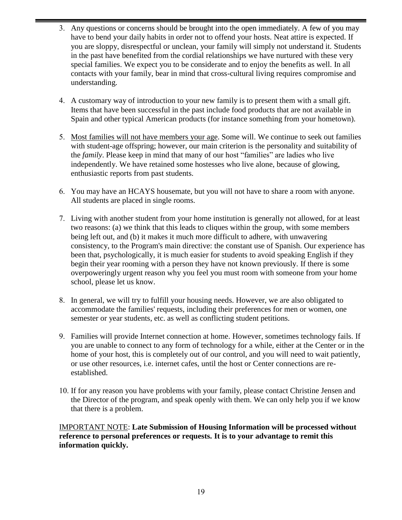- 3. Any questions or concerns should be brought into the open immediately. A few of you may have to bend your daily habits in order not to offend your hosts. Neat attire is expected. If you are sloppy, disrespectful or unclean, your family will simply not understand it. Students in the past have benefited from the cordial relationships we have nurtured with these very special families. We expect you to be considerate and to enjoy the benefits as well. In all contacts with your family, bear in mind that cross-cultural living requires compromise and understanding.
- 4. A customary way of introduction to your new family is to present them with a small gift. Items that have been successful in the past include food products that are not available in Spain and other typical American products (for instance something from your hometown).
- 5. Most families will not have members your age. Some will. We continue to seek out families with student-age offspring; however, our main criterion is the personality and suitability of the *family*. Please keep in mind that many of our host "families" are ladies who live independently. We have retained some hostesses who live alone, because of glowing, enthusiastic reports from past students.
- 6. You may have an HCAYS housemate, but you will not have to share a room with anyone. All students are placed in single rooms.
- 7. Living with another student from your home institution is generally not allowed, for at least two reasons: (a) we think that this leads to cliques within the group, with some members being left out, and (b) it makes it much more difficult to adhere, with unwavering consistency, to the Program's main directive: the constant use of Spanish. Our experience has been that, psychologically, it is much easier for students to avoid speaking English if they begin their year rooming with a person they have not known previously. If there is some overpoweringly urgent reason why you feel you must room with someone from your home school, please let us know.
- 8. In general, we will try to fulfill your housing needs. However, we are also obligated to accommodate the families' requests, including their preferences for men or women, one semester or year students, etc. as well as conflicting student petitions.
- 9. Families will provide Internet connection at home. However, sometimes technology fails. If you are unable to connect to any form of technology for a while, either at the Center or in the home of your host, this is completely out of our control, and you will need to wait patiently, or use other resources, i.e. internet cafes, until the host or Center connections are reestablished.
- 10. If for any reason you have problems with your family, please contact Christine Jensen and the Director of the program, and speak openly with them. We can only help you if we know that there is a problem.

IMPORTANT NOTE: **Late Submission of Housing Information will be processed without reference to personal preferences or requests. It is to your advantage to remit this information quickly.**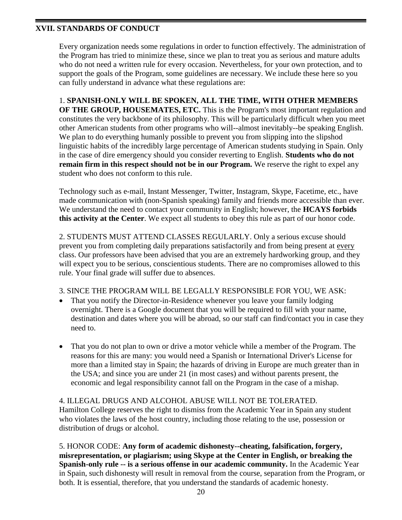## **XVII. STANDARDS OF CONDUCT**

Every organization needs some regulations in order to function effectively. The administration of the Program has tried to minimize these, since we plan to treat you as serious and mature adults who do not need a written rule for every occasion. Nevertheless, for your own protection, and to support the goals of the Program, some guidelines are necessary. We include these here so you can fully understand in advance what these regulations are:

1. **SPANISH-ONLY WILL BE SPOKEN, ALL THE TIME, WITH OTHER MEMBERS OF THE GROUP, HOUSEMATES, ETC.** This is the Program's most important regulation and constitutes the very backbone of its philosophy. This will be particularly difficult when you meet other American students from other programs who will--almost inevitably--be speaking English. We plan to do everything humanly possible to prevent you from slipping into the slipshod linguistic habits of the incredibly large percentage of American students studying in Spain. Only in the case of dire emergency should you consider reverting to English. **Students who do not remain firm in this respect should not be in our Program.** We reserve the right to expel any student who does not conform to this rule.

Technology such as e-mail, Instant Messenger, Twitter, Instagram, Skype, Facetime, etc., have made communication with (non-Spanish speaking) family and friends more accessible than ever. We understand the need to contact your community in English; however, the **HCAYS forbids this activity at the Center**. We expect all students to obey this rule as part of our honor code.

2. STUDENTS MUST ATTEND CLASSES REGULARLY. Only a serious excuse should prevent you from completing daily preparations satisfactorily and from being present at every class. Our professors have been advised that you are an extremely hardworking group, and they will expect you to be serious, conscientious students. There are no compromises allowed to this rule. Your final grade will suffer due to absences.

## 3. SINCE THE PROGRAM WILL BE LEGALLY RESPONSIBLE FOR YOU, WE ASK:

- That you notify the Director-in-Residence whenever you leave your family lodging overnight. There is a Google document that you will be required to fill with your name, destination and dates where you will be abroad, so our staff can find/contact you in case they need to.
- That you do not plan to own or drive a motor vehicle while a member of the Program. The reasons for this are many: you would need a Spanish or International Driver's License for more than a limited stay in Spain; the hazards of driving in Europe are much greater than in the USA; and since you are under 21 (in most cases) and without parents present, the economic and legal responsibility cannot fall on the Program in the case of a mishap.

## 4. ILLEGAL DRUGS AND ALCOHOL ABUSE WILL NOT BE TOLERATED. Hamilton College reserves the right to dismiss from the Academic Year in Spain any student who violates the laws of the host country, including those relating to the use, possession or distribution of drugs or alcohol.

5. HONOR CODE: **Any form of academic dishonesty--cheating, falsification, forgery, misrepresentation, or plagiarism; using Skype at the Center in English, or breaking the Spanish-only rule -- is a serious offense in our academic community.** In the Academic Year in Spain, such dishonesty will result in removal from the course, separation from the Program, or both. It is essential, therefore, that you understand the standards of academic honesty.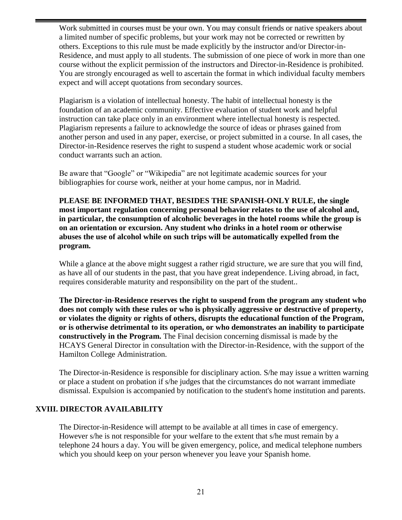Work submitted in courses must be your own. You may consult friends or native speakers about a limited number of specific problems, but your work may not be corrected or rewritten by others. Exceptions to this rule must be made explicitly by the instructor and/or Director-in-Residence, and must apply to all students. The submission of one piece of work in more than one course without the explicit permission of the instructors and Director-in-Residence is prohibited. You are strongly encouraged as well to ascertain the format in which individual faculty members expect and will accept quotations from secondary sources.

Plagiarism is a violation of intellectual honesty. The habit of intellectual honesty is the foundation of an academic community. Effective evaluation of student work and helpful instruction can take place only in an environment where intellectual honesty is respected. Plagiarism represents a failure to acknowledge the source of ideas or phrases gained from another person and used in any paper, exercise, or project submitted in a course. In all cases, the Director-in-Residence reserves the right to suspend a student whose academic work or social conduct warrants such an action.

Be aware that "Google" or "Wikipedia" are not legitimate academic sources for your bibliographies for course work, neither at your home campus, nor in Madrid.

**PLEASE BE INFORMED THAT, BESIDES THE SPANISH-ONLY RULE, the single most important regulation concerning personal behavior relates to the use of alcohol and, in particular, the consumption of alcoholic beverages in the hotel rooms while the group is on an orientation or excursion. Any student who drinks in a hotel room or otherwise abuses the use of alcohol while on such trips will be automatically expelled from the program.**

While a glance at the above might suggest a rather rigid structure, we are sure that you will find, as have all of our students in the past, that you have great independence. Living abroad, in fact, requires considerable maturity and responsibility on the part of the student..

**The Director-in-Residence reserves the right to suspend from the program any student who does not comply with these rules or who is physically aggressive or destructive of property, or violates the dignity or rights of others, disrupts the educational function of the Program, or is otherwise detrimental to its operation, or who demonstrates an inability to participate constructively in the Program.** The Final decision concerning dismissal is made by the HCAYS General Director in consultation with the Director-in-Residence, with the support of the Hamilton College Administration.

The Director-in-Residence is responsible for disciplinary action. S/he may issue a written warning or place a student on probation if s/he judges that the circumstances do not warrant immediate dismissal. Expulsion is accompanied by notification to the student's home institution and parents.

## **XVIII. DIRECTOR AVAILABILITY**

The Director-in-Residence will attempt to be available at all times in case of emergency. However s/he is not responsible for your welfare to the extent that s/he must remain by a telephone 24 hours a day. You will be given emergency, police, and medical telephone numbers which you should keep on your person whenever you leave your Spanish home.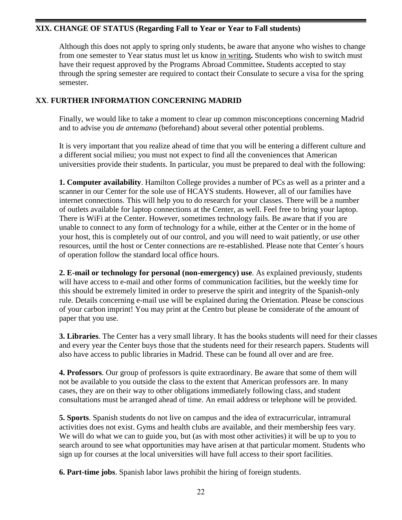## **XIX. CHANGE OF STATUS (Regarding Fall to Year or Year to Fall students)**

Although this does not apply to spring only students, be aware that anyone who wishes to change from one semester to Year status must let us know in writing**.** Students who wish to switch must have their request approved by the Programs Abroad Committee**.** Students accepted to stay through the spring semester are required to contact their Consulate to secure a visa for the spring semester.

## **XX**. **FURTHER INFORMATION CONCERNING MADRID**

Finally, we would like to take a moment to clear up common misconceptions concerning Madrid and to advise you *de antemano* (beforehand) about several other potential problems.

It is very important that you realize ahead of time that you will be entering a different culture and a different social milieu; you must not expect to find all the conveniences that American universities provide their students. In particular, you must be prepared to deal with the following:

**1. Computer availability**. Hamilton College provides a number of PCs as well as a printer and a scanner in our Center for the sole use of HCAYS students. However, all of our families have internet connections. This will help you to do research for your classes. There will be a number of outlets available for laptop connections at the Center, as well. Feel free to bring your laptop. There is WiFi at the Center. However, sometimes technology fails. Be aware that if you are unable to connect to any form of technology for a while, either at the Center or in the home of your host, this is completely out of our control, and you will need to wait patiently, or use other resources, until the host or Center connections are re-established. Please note that Center´s hours of operation follow the standard local office hours.

**2. E-mail or technology for personal (non-emergency) use**. As explained previously, students will have access to e-mail and other forms of communication facilities, but the weekly time for this should be extremely limited in order to preserve the spirit and integrity of the Spanish-only rule. Details concerning e-mail use will be explained during the Orientation. Please be conscious of your carbon imprint! You may print at the Centro but please be considerate of the amount of paper that you use.

**3. Libraries**. The Center has a very small library. It has the books students will need for their classes and every year the Center buys those that the students need for their research papers. Students will also have access to public libraries in Madrid. These can be found all over and are free.

**4. Professors**. Our group of professors is quite extraordinary. Be aware that some of them will not be available to you outside the class to the extent that American professors are. In many cases, they are on their way to other obligations immediately following class, and student consultations must be arranged ahead of time. An email address or telephone will be provided.

**5. Sports**. Spanish students do not live on campus and the idea of extracurricular, intramural activities does not exist. Gyms and health clubs are available, and their membership fees vary. We will do what we can to guide you, but (as with most other activities) it will be up to you to search around to see what opportunities may have arisen at that particular moment. Students who sign up for courses at the local universities will have full access to their sport facilities.

**6. Part-time jobs**. Spanish labor laws prohibit the hiring of foreign students.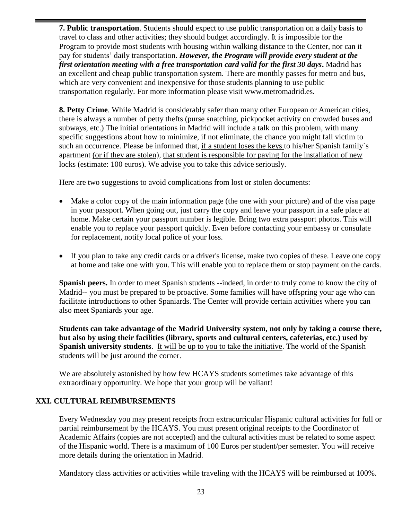**7. Public transportation**. Students should expect to use public transportation on a daily basis to travel to class and other activities; they should budget accordingly. It is impossible for the Program to provide most students with housing within walking distance to the Center, nor can it pay for students' daily transportation. *However, the Program will provide every student at the first orientation meeting with a free transportation card valid for the first 30 days***.** Madrid has an excellent and cheap public transportation system. There are monthly passes for metro and bus, which are very convenient and inexpensive for those students planning to use public transportation regularly. For more information please visit www.metromadrid.es.

**8. Petty Crime**. While Madrid is considerably safer than many other European or American cities, there is always a number of petty thefts (purse snatching, pickpocket activity on crowded buses and subways, etc.) The initial orientations in Madrid will include a talk on this problem, with many specific suggestions about how to minimize, if not eliminate, the chance you might fall victim to such an occurrence. Please be informed that, if a student loses the keys to his/her Spanish family´s apartment (or if they are stolen), that student is responsible for paying for the installation of new locks (estimate: 100 euros). We advise you to take this advice seriously.

Here are two suggestions to avoid complications from lost or stolen documents:

- Make a color copy of the main information page (the one with your picture) and of the visa page in your passport. When going out, just carry the copy and leave your passport in a safe place at home. Make certain your passport number is legible. Bring two extra passport photos. This will enable you to replace your passport quickly. Even before contacting your embassy or consulate for replacement, notify local police of your loss.
- If you plan to take any credit cards or a driver's license, make two copies of these. Leave one copy at home and take one with you. This will enable you to replace them or stop payment on the cards.

**Spanish peers.** In order to meet Spanish students --indeed, in order to truly come to know the city of Madrid-- you must be prepared to be proactive. Some families will have offspring your age who can facilitate introductions to other Spaniards. The Center will provide certain activities where you can also meet Spaniards your age.

**Students can take advantage of the Madrid University system, not only by taking a course there, but also by using their facilities (library, sports and cultural centers, cafeterias, etc.) used by Spanish university students**. It will be up to you to take the initiative. The world of the Spanish students will be just around the corner.

We are absolutely astonished by how few HCAYS students sometimes take advantage of this extraordinary opportunity. We hope that your group will be valiant!

## **XXI. CULTURAL REIMBURSEMENTS**

Every Wednesday you may present receipts from extracurricular Hispanic cultural activities for full or partial reimbursement by the HCAYS. You must present original receipts to the Coordinator of Academic Affairs (copies are not accepted) and the cultural activities must be related to some aspect of the Hispanic world. There is a maximum of 100 Euros per student/per semester. You will receive more details during the orientation in Madrid.

Mandatory class activities or activities while traveling with the HCAYS will be reimbursed at 100%.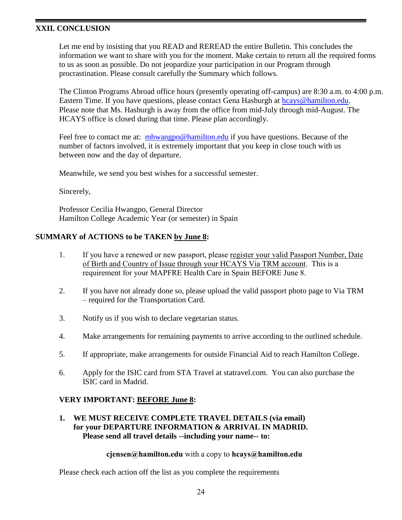## **XXII. CONCLUSION**

Let me end by insisting that you READ and REREAD the entire Bulletin. This concludes the information we want to share with you for the moment. Make certain to return all the required forms to us as soon as possible. Do not jeopardize your participation in our Program through procrastination. Please consult carefully the Summary which follows.

The Clinton Programs Abroad office hours (presently operating off-campus) are 8:30 a.m. to 4:00 p.m. Eastern Time. If you have questions, please contact Gena Hasburgh at [hcays@hamilton.edu.](mailto:hcays@hamilton.edu) Please note that Ms. Hasburgh is away from the office from mid-July through mid-August. The HCAYS office is closed during that time. Please plan accordingly.

Feel free to contact me at: [mhwangpo@hamilton.edu](mailto:mhwangpo@hamilton.edu) if you have questions. Because of the number of factors involved, it is extremely important that you keep in close touch with us between now and the day of departure.

Meanwhile, we send you best wishes for a successful semester.

Sincerely,

Professor Cecilia Hwangpo, General Director Hamilton College Academic Year (or semester) in Spain

## **SUMMARY of ACTIONS to be TAKEN by June 8:**

- 1. If you have a renewed or new passport, please register your valid Passport Number, Date of Birth and Country of Issue through your HCAYS Via TRM account. This is a requirement for your MAPFRE Health Care in Spain BEFORE June 8.
- 2. If you have not already done so, please upload the valid passport photo page to Via TRM – required for the Transportation Card.
- 3. Notify us if you wish to declare vegetarian status.
- 4. Make arrangements for remaining payments to arrive according to the outlined schedule.
- 5. If appropriate, make arrangements for outside Financial Aid to reach Hamilton College.
- 6. Apply for the ISIC card from STA Travel at statravel.com. You can also purchase the ISIC card in Madrid.

## **VERY IMPORTANT: BEFORE June 8:**

## **1. WE MUST RECEIVE COMPLETE TRAVEL DETAILS (via email) for your DEPARTURE INFORMATION & ARRIVAL IN MADRID. Please send all travel details --including your name-- to:**

#### **[cjensen@hamilton.edu](mailto:cjensen@hamilton.edu)** with a copy to **hcays@hamilton.edu**

Please check each action off the list as you complete the requirements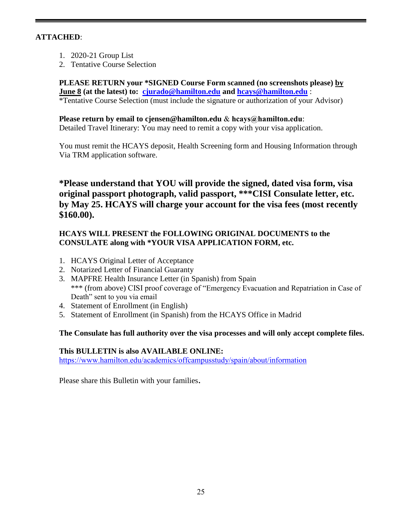## **ATTACHED**:

- 1. 2020-21 Group List
- 2. Tentative Course Selection

**PLEASE RETURN your \*SIGNED Course Form scanned (no screenshots please) by June 8 (at the latest) to: [cjurado@hamilton.edu](mailto:cjurado@hamilton.edu) and [hcays@hamilton.edu](mailto:hcays@hamilton.edu)** : \*Tentative Course Selection (must include the signature or authorization of your Advisor)

**Please return by email to [cjensen@hamilton.edu](mailto:cjensen@hamilton.edu)** & **hcays@hamilton.edu**: Detailed Travel Itinerary: You may need to remit a copy with your visa application.

You must remit the HCAYS deposit, Health Screening form and Housing Information through Via TRM application software.

**\*Please understand that YOU will provide the signed, dated visa form, visa original passport photograph, valid passport, \*\*\*CISI Consulate letter, etc. by May 25. HCAYS will charge your account for the visa fees (most recently \$160.00).**

## **HCAYS WILL PRESENT the FOLLOWING ORIGINAL DOCUMENTS to the CONSULATE along with \*YOUR VISA APPLICATION FORM, etc.**

- 1. HCAYS Original Letter of Acceptance
- 2. Notarized Letter of Financial Guaranty
- 3. MAPFRE Health Insurance Letter (in Spanish) from Spain \*\*\* (from above) CISI proof coverage of "Emergency Evacuation and Repatriation in Case of Death" sent to you via email
- 4. Statement of Enrollment (in English)
- 5. Statement of Enrollment (in Spanish) from the HCAYS Office in Madrid

## **The Consulate has full authority over the visa processes and will only accept complete files.**

## **This BULLETIN is also AVAILABLE ONLINE:**

<https://www.hamilton.edu/academics/offcampusstudy/spain/about/information>

Please share this Bulletin with your families.